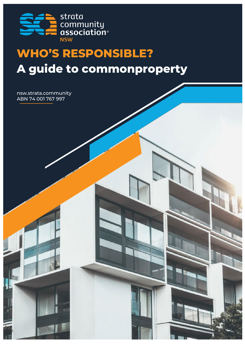

# **WHO'S RESPONSIBLE? A guide to commonproperty**

nsw.strata.community ABN 74 001 767 997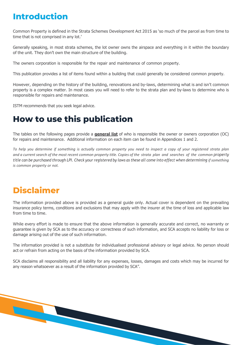#### **Introduction**

Common Property is defined in the Strata Schemes Development Act 2015 as 'so much of the parcel as from time to time that is not comprised in any lot.'

Generally speaking, in most strata schemes, the lot owner owns the airspace and everything in it within the boundary of the unit. They don't own the main structure of the building.

The owners corporation is responsible for the repair and maintenance of common property.

This publication provides a list of items found within a building that could generally be considered common property.

However, depending on the history of the building, renovations and by-laws, determining what is and isn't common property is a complex matter. In most cases you will need to refer to the strata plan and by-laws to determine who is responsible for repairs and maintenance.

ISTM recommends that you seek legal advice.

### **How to use this publication**

The tables on the following pages provide a **general list** of who is responsible the owner or owners corporation (OC) for repairs and maintenance. Additional information on each item can be found in Appendices 1 and 2.

To help you determine if something is actually common property you need to inspect a copy of your registered strata plan and a current search of the most recent common property title. Copies of the strata plan and searches of the common property title can be purchased through LPI. Check your registered by laws as these all come into effect when determining if something *is common property or not.*

### **Disclaimer**

The information provided above is provided as a general guide only. Actual cover is dependent on the prevailing insurance policy terms, conditions and exclusions that may apply with the insurer at the time of loss and applicable law from time to time.

While every effort is made to ensure that the above information is generally accurate and correct, no warranty or guarantee is given by SCA as to the accuracy or correctness of such information, and SCA accepts no liability for loss or damage arising out of the use of such information.

The information provided is not a substitute for individualised professional advisory or legal advice. No person should act or refrain from acting on the basis of the information provided by SCA.

SCA disclaims all responsibility and all liability for any expenses, losses, damages and costs which may be incurred for any reason whatsoever as a result of the information provided by SCA".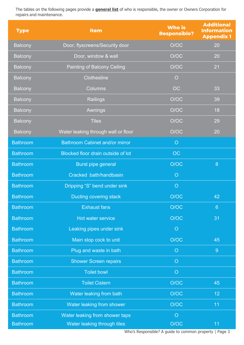The tables on the following pages provide a **general list** of who is responsible, the owner or Owners Corporation for repairs and maintenance.

| <b>Type</b>     | <b>Item</b>                           | <b>Who is</b><br><b>Responsible?</b> | <b>Additional</b><br><b>Information</b><br><b>Appendix 1</b> |
|-----------------|---------------------------------------|--------------------------------------|--------------------------------------------------------------|
| <b>Balcony</b>  | Door, flyscreens/Security door        | O/OC                                 | 20                                                           |
| <b>Balcony</b>  | Door, window & wall                   | O/OC                                 | 20                                                           |
| <b>Balcony</b>  | Painting of Balcony Ceiling           | O/OC                                 | 21                                                           |
| <b>Balcony</b>  | <b>Clothesline</b>                    | $\circ$                              |                                                              |
| <b>Balcony</b>  | <b>Columns</b>                        | OC                                   | 33                                                           |
| <b>Balcony</b>  | Railings                              | O/OC                                 | 39                                                           |
| <b>Balcony</b>  | Awnings                               | O/OC                                 | 18                                                           |
| <b>Balcony</b>  | <b>Tiles</b>                          | O/OC                                 | 29                                                           |
| <b>Balcony</b>  | Water leaking through wall or floor   | O/OC                                 | 20                                                           |
| <b>Bathroom</b> | <b>Bathroom Cabinet and/or mirror</b> | $\overline{O}$                       |                                                              |
| <b>Bathroom</b> | Blocked floor drain outside of lot    | <b>OC</b>                            |                                                              |
| <b>Bathroom</b> | <b>Burst pipe general</b>             | O/OC                                 | 8                                                            |
| <b>Bathroom</b> | Cracked bath/handbasin                | $\overline{O}$                       |                                                              |
| <b>Bathroom</b> | Dripping "S" bend under sink          | $\circ$                              |                                                              |
| <b>Bathroom</b> | <b>Ducting covering stack</b>         | O/OC                                 | 42                                                           |
| <b>Bathroom</b> | <b>Exhaust fans</b>                   | O/OC                                 | $6\phantom{1}6$                                              |
| <b>Bathroom</b> | Hot water service                     | O/OC                                 | 31                                                           |
| <b>Bathroom</b> | Leaking pipes under sink              | $\circ$                              |                                                              |
| <b>Bathroom</b> | Main stop cock to unit                | O/OC                                 | 45                                                           |
| <b>Bathroom</b> | Plug and waste in bath                | $\overline{O}$                       | 9                                                            |
| <b>Bathroom</b> | <b>Shower Screen repairs</b>          | $\circ$                              |                                                              |
| <b>Bathroom</b> | <b>Toilet bowl</b>                    | $\circ$                              |                                                              |
| <b>Bathroom</b> | <b>Toilet Cistern</b>                 | O/OC                                 | 45                                                           |
| <b>Bathroom</b> | Water leaking from bath               | O/OC                                 | 12                                                           |
| <b>Bathroom</b> | Water leaking from shower             | O/OC                                 | 11                                                           |
| <b>Bathroom</b> | Water leaking from shower taps        | $\overline{O}$                       |                                                              |
| <b>Bathroom</b> | Water leaking through tiles           | O/OC                                 | 11                                                           |

Who's Responsible? A guide to common property | Page 3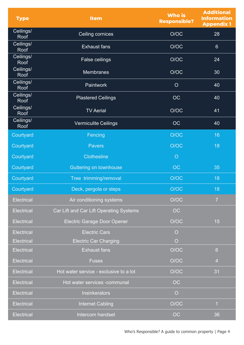| <b>Type</b>       | <b>Item</b>                             | <b>Who is</b><br><b>Responsible?</b> | <b>Additional</b><br><b>Information</b><br><b>Appendix 1</b> |
|-------------------|-----------------------------------------|--------------------------------------|--------------------------------------------------------------|
| Ceilings/<br>Roof | Ceiling cornices                        | O/OC                                 | 28                                                           |
| Ceilings/<br>Roof | <b>Exhaust fans</b>                     | O/OC                                 | $6\phantom{1}$                                               |
| Ceilings/<br>Roof | <b>False ceilings</b>                   | O/OC                                 | 24                                                           |
| Ceilings/<br>Roof | <b>Membranes</b>                        | O/OC                                 | 30                                                           |
| Ceilings/<br>Roof | Paintwork                               | $\overline{O}$                       | 40                                                           |
| Ceilings/<br>Roof | <b>Plastered Ceilings</b>               | <b>OC</b>                            | 40                                                           |
| Ceilings/<br>Roof | <b>TV Aerial</b>                        | O/OC                                 | 41                                                           |
| Ceilings/<br>Roof | <b>Vermiculite Ceilings</b>             | <b>OC</b>                            | 40                                                           |
| Courtyard         | Fencing                                 | O/OC                                 | 16                                                           |
| Courtyard         | <b>Pavers</b>                           | O/OC                                 | 18                                                           |
| Courtyard         | <b>Clothesline</b>                      | $\circ$                              |                                                              |
| Courtyard         | <b>Guttering on townhouse</b>           | <b>OC</b>                            | 35                                                           |
| Courtyard         | Tree trimming/removal                   | O/OC                                 | 18                                                           |
| Courtyard         | Deck, pergola or steps                  | O/OC                                 | 18                                                           |
| <b>Electrical</b> | Air conditioning systems                | O/OC                                 | $\overline{7}$                                               |
| <b>Electrical</b> | Car Lift and Car Lift Operating Systems | <b>OC</b>                            |                                                              |
| <b>Electrical</b> | <b>Electric Garage Door Opener</b>      | O/OC                                 | 15                                                           |
| <b>Electrical</b> | <b>Electric Cars</b>                    | $\overline{O}$                       |                                                              |
| <b>Electrical</b> | <b>Electric Car Charging</b>            | $\overline{O}$                       |                                                              |
| <b>Electrical</b> | <b>Exhaust fans</b>                     | O/OC                                 | $6\phantom{1}$                                               |
| <b>Electrical</b> | <b>Fuses</b>                            | O/OC                                 | $\overline{4}$                                               |
| <b>Electrical</b> | Hot water service - exclusive to a lot  | O/OC                                 | 31                                                           |
| <b>Electrical</b> | Hot water services -communal            | OC                                   |                                                              |
| <b>Electrical</b> | <b>Insinkerators</b>                    | $\circ$                              |                                                              |
| <b>Electrical</b> | <b>Internet Cabling</b>                 | O/OC                                 | $\overline{1}$                                               |
| <b>Electrical</b> | Intercom handset                        | <b>OC</b>                            | 36                                                           |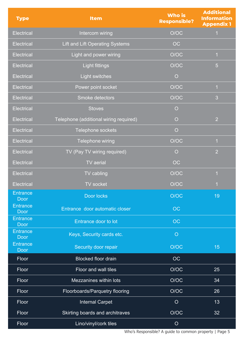| <b>Type</b>                    | <b>Item</b>                            | <b>Who is</b><br><b>Responsible?</b> | <b>Additional</b><br><b>Information</b><br><b>Appendix 1</b> |
|--------------------------------|----------------------------------------|--------------------------------------|--------------------------------------------------------------|
| <b>Electrical</b>              | Intercom wiring                        | O/OC                                 | $\mathbf 1$                                                  |
| <b>Electrical</b>              | <b>Lift and Lift Operating Systems</b> | <b>OC</b>                            |                                                              |
| <b>Electrical</b>              | Light and power wiring                 | O/OC                                 | $\overline{1}$                                               |
| <b>Electrical</b>              | <b>Light fittings</b>                  | O/OC                                 | 5                                                            |
| <b>Electrical</b>              | <b>Light switches</b>                  | $\overline{O}$                       |                                                              |
| <b>Electrical</b>              | Power point socket                     | O/OC                                 | $\overline{1}$                                               |
| <b>Electrical</b>              | Smoke detectors                        | O/OC                                 | 3                                                            |
| <b>Electrical</b>              | <b>Stoves</b>                          | $\circ$                              |                                                              |
| <b>Electrical</b>              | Telephone (additional wiring required) | $\overline{O}$                       | $\overline{2}$                                               |
| <b>Electrical</b>              | Telephone sockets                      | $\overline{O}$                       |                                                              |
| <b>Electrical</b>              | Telephone wiring                       | O/OC                                 | $\overline{1}$                                               |
| <b>Electrical</b>              | TV (Pay TV wiring required)            | $\overline{O}$                       | $\overline{2}$                                               |
| <b>Electrical</b>              | <b>TV</b> aerial                       | OC                                   |                                                              |
| <b>Electrical</b>              | TV cabling                             | O/OC                                 | $\overline{1}$                                               |
| <b>Electrical</b>              | <b>TV</b> socket                       | O/OC                                 |                                                              |
| <b>Entrance</b><br><b>Door</b> | Door locks                             | O/OC                                 | 19                                                           |
| <b>Entrance</b><br><b>Door</b> | Entrance door automatic closer         | <b>OC</b>                            |                                                              |
| Entrance<br><b>Door</b>        | Entrance door to lot                   | OC                                   |                                                              |
| <b>Entrance</b><br><b>Door</b> | Keys, Security cards etc.              | $\overline{O}$                       |                                                              |
| <b>Entrance</b><br>Door        | <b>Security door repair</b>            | O/OC                                 | 15                                                           |
| Floor                          | <b>Blocked floor drain</b>             | <b>OC</b>                            |                                                              |
| Floor                          | Floor and wall tiles                   | O/OC                                 | 25                                                           |
| Floor                          | Mezzanines within lots                 | O/OC                                 | 34                                                           |
| Floor                          | Floorboards/Parquetry flooring         | O/OC                                 | 26                                                           |
| Floor                          | <b>Internal Carpet</b>                 | $\overline{O}$                       | 13                                                           |
| Floor                          | Skirting boards and architraves        | O/OC                                 | 32                                                           |
| Floor                          | Lino/vinyl/cork tiles                  | $\circ$                              |                                                              |

Who's Responsible? A guide to common property | Page 5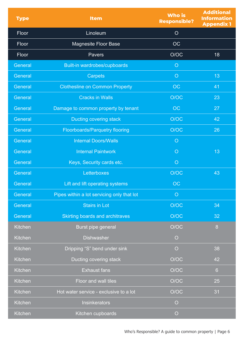| <b>Type</b>    | <b>Item</b>                                | <b>Who is</b><br><b>Responsible?</b> | <b>Additional</b><br><b>Information</b><br><b>Appendix 1</b> |
|----------------|--------------------------------------------|--------------------------------------|--------------------------------------------------------------|
| Floor          | Linoleum                                   | $\overline{O}$                       |                                                              |
| Floor          | <b>Magnesite Floor Base</b>                | <b>OC</b>                            |                                                              |
| Floor          | Pavers                                     | O/OC                                 | 18                                                           |
| General        | Built-in wardrobes/cupboards               | $\overline{O}$                       |                                                              |
| General        | <b>Carpets</b>                             | $\overline{O}$                       | 13                                                           |
| General        | <b>Clothesline on Common Property</b>      | OC                                   | 41                                                           |
| General        | <b>Cracks in Walls</b>                     | O/OC                                 | 23                                                           |
| General        | Damage to common property by tenant        | OC                                   | 27                                                           |
| General        | Ducting covering stack                     | O/OC                                 | 42                                                           |
| General        | <b>Floorboards/Parquetry flooring</b>      | O/OC                                 | 26                                                           |
| General        | <b>Internal Doors/Walls</b>                | $\circ$                              |                                                              |
| General        | <b>Internal Paintwork</b>                  | $\circ$                              | 13                                                           |
| General        | Keys, Security cards etc.                  | $\circ$                              |                                                              |
| General        | Letterboxes                                | O/OC                                 | 43                                                           |
| General        | Lift and lift operating systems            | OC                                   |                                                              |
| General        | Pipes within a lot servicing only that lot | $\overline{O}$                       |                                                              |
| General        | <b>Stairs in Lot</b>                       | O/OC                                 | 34                                                           |
| General        | <b>Skirting boards and architraves</b>     | O/OC                                 | 32                                                           |
| Kitchen        | Burst pipe general                         | O/OC                                 | 8                                                            |
| <b>Kitchen</b> | <b>Dishwasher</b>                          | $\overline{O}$                       |                                                              |
| <b>Kitchen</b> | Dripping "S" bend under sink               | $\overline{O}$                       | 38                                                           |
| Kitchen        | Ducting covering stack                     | O/OC                                 | 42                                                           |
| Kitchen        | <b>Exhaust fans</b>                        | O/OC                                 | $6\phantom{1}$                                               |
| Kitchen        | Floor and wall tiles                       | O/OC                                 | 25                                                           |
| Kitchen        | Hot water service - exclusive to a lot     | O/OC                                 | 31                                                           |
| <b>Kitchen</b> | Insinkerators                              | $\overline{O}$                       |                                                              |
| Kitchen        | Kitchen cupboards                          | $\overline{O}$                       |                                                              |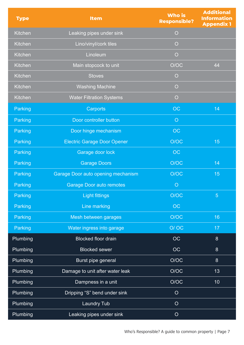| <b>Type</b>     | <b>Item</b>                               | <b>Who is</b><br><b>Responsible?</b> | <b>Additional</b><br><b>Information</b><br><b>Appendix 1</b> |
|-----------------|-------------------------------------------|--------------------------------------|--------------------------------------------------------------|
| Kitchen         | Leaking pipes under sink                  | $\circ$                              |                                                              |
| <b>Kitchen</b>  | Lino/vinyl/cork tiles                     | $\overline{O}$                       |                                                              |
| <b>Kitchen</b>  | Linoleum                                  | $\overline{O}$                       |                                                              |
| <b>Kitchen</b>  | Main stopcock to unit                     | O/OC                                 | 44                                                           |
| <b>Kitchen</b>  | <b>Stoves</b>                             | $\circ$                              |                                                              |
| <b>Kitchen</b>  | <b>Washing Machine</b>                    | $\overline{O}$                       |                                                              |
| <b>Kitchen</b>  | <b>Water Filtration Systems</b>           | $\overline{O}$                       |                                                              |
| Parking         | <b>Carports</b>                           | <b>OC</b>                            | 14                                                           |
| Parking         | Door controller button                    | $\overline{O}$                       |                                                              |
| Parking         | Door hinge mechanism                      | <b>OC</b>                            |                                                              |
| Parking         | <b>Electric Garage Door Opener</b>        | O/OC                                 | 15                                                           |
| Parking         | Garage door lock                          | OC                                   |                                                              |
| Parking         | <b>Garage Doors</b>                       | O/OC                                 | 14                                                           |
| Parking         | <b>Garage Door auto opening mechanism</b> | O/OC                                 | 15                                                           |
| Parking         | <b>Garage Door auto remotes</b>           | $\circ$                              |                                                              |
| <b>Parking</b>  | <b>Light fittings</b>                     | O/OC                                 | $\overline{5}$                                               |
| Parking         | Line marking                              | OC                                   |                                                              |
| Parking         | Mesh between garages                      | O/OC                                 | 16                                                           |
| Parking         | Water ingress into garage                 | O/OC                                 | 17                                                           |
| Plumbing        | <b>Blocked floor drain</b>                | OC                                   | 8                                                            |
| Plumbing        | <b>Blocked sewer</b>                      | <b>OC</b>                            | 8                                                            |
| Plumbing        | Burst pipe general                        | O/OC                                 | 8                                                            |
| Plumbing        | Damage to unit after water leak           | O/OC                                 | 13                                                           |
| <b>Plumbing</b> | Dampness in a unit                        | O/OC                                 | 10 <sup>°</sup>                                              |
| Plumbing        | Dripping "S" bend under sink              | $\overline{O}$                       |                                                              |
| Plumbing        | <b>Laundry Tub</b>                        | $\overline{O}$                       |                                                              |
| <b>Plumbing</b> | Leaking pipes under sink                  | $\circ$                              |                                                              |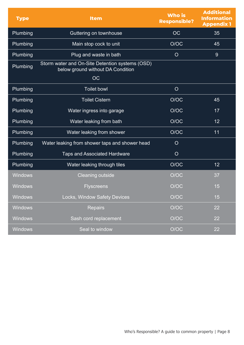| <b>Type</b>    | <b>Item</b>                                                                          | <b>Who is</b><br><b>Responsible?</b> | <b>Additional</b><br><b>Information</b><br><b>Appendix 1</b> |
|----------------|--------------------------------------------------------------------------------------|--------------------------------------|--------------------------------------------------------------|
| Plumbing       | Guttering on townhouse                                                               | <b>OC</b>                            | 35                                                           |
| Plumbing       | Main stop cock to unit                                                               | O/OC                                 | 45                                                           |
| Plumbing       | Plug and waste in bath                                                               | $\overline{O}$                       | 9                                                            |
| Plumbing       | Storm water and On-Site Detention systems (OSD)<br>below ground without DA Condition |                                      |                                                              |
|                | <b>OC</b>                                                                            |                                      |                                                              |
| Plumbing       | <b>Toilet bowl</b>                                                                   | $\overline{O}$                       |                                                              |
| Plumbing       | <b>Toilet Cistern</b>                                                                | O/OC                                 | 45                                                           |
| Plumbing       | Water ingress into garage                                                            | O/OC                                 | 17                                                           |
| Plumbing       | Water leaking from bath                                                              | O/OC                                 | 12                                                           |
| Plumbing       | Water leaking from shower                                                            | O/OC                                 | 11                                                           |
| Plumbing       | Water leaking from shower taps and shower head                                       | $\overline{O}$                       |                                                              |
| Plumbing       | <b>Taps and Associated Hardware</b>                                                  | $\overline{O}$                       |                                                              |
| Plumbing       | Water leaking through tiles                                                          | O/OC                                 | 12                                                           |
| <b>Windows</b> | <b>Cleaning outside</b>                                                              | O/OC                                 | 37                                                           |
| <b>Windows</b> | <b>Flyscreens</b>                                                                    | O/OC                                 | 15                                                           |
| <b>Windows</b> | Locks, Window Safety Devices                                                         | O/OC                                 | 15                                                           |
| <b>Windows</b> | <b>Repairs</b>                                                                       | O/OC                                 | 22                                                           |
| <b>Windows</b> | Sash cord replacement                                                                | O/OC                                 | 22                                                           |
| <b>Windows</b> | Seal to window                                                                       | O/OC                                 | 22                                                           |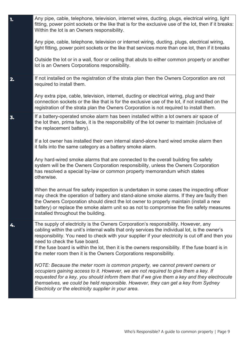| 1. | Any pipe, cable, telephone, television, internet wires, ducting, plugs, electrical wiring, light<br>fitting, power point sockets or the like that is for the exclusive use of the lot, then if it breaks:<br>Within the lot is an Owners responsibility.                                                                                                                                                                                                                                             |
|----|------------------------------------------------------------------------------------------------------------------------------------------------------------------------------------------------------------------------------------------------------------------------------------------------------------------------------------------------------------------------------------------------------------------------------------------------------------------------------------------------------|
|    | Any pipe, cable, telephone, television or internet wiring, ducting, plugs, electrical wiring,<br>light fitting, power point sockets or the like that services more than one lot, then if it breaks                                                                                                                                                                                                                                                                                                   |
|    | Outside the lot or in a wall, floor or ceiling that abuts to either common property or another<br>lot is an Owners Corporations responsibility.                                                                                                                                                                                                                                                                                                                                                      |
| 2. | If not installed on the registration of the strata plan then the Owners Corporation are not<br>required to install them.                                                                                                                                                                                                                                                                                                                                                                             |
|    | Any extra pipe, cable, television, internet, ducting or electrical wiring, plug and their<br>connection sockets or the like that is for the exclusive use of the lot, if not installed on the<br>registration of the strata plan the Owners Corporation is not required to install them.                                                                                                                                                                                                             |
| 3. | If a battery-operated smoke alarm has been installed within a lot owners air space of<br>the lot then, prima facie, it is the responsibility of the lot owner to maintain (inclusive of<br>the replacement battery).                                                                                                                                                                                                                                                                                 |
|    | If a lot owner has installed their own internal stand-alone hard wired smoke alarm then<br>it falls into the same category as a battery smoke alarm.                                                                                                                                                                                                                                                                                                                                                 |
|    | Any hard-wired smoke alarms that are connected to the overall building fire safety<br>system will be the Owners Corporation responsibility, unless the Owners Corporation<br>has resolved a special by-law or common property memorandum which states<br>otherwise.                                                                                                                                                                                                                                  |
|    | When the annual fire safety inspection is undertaken in some cases the inspecting officer<br>may check the operation of battery and stand-alone smoke alarms. If they are faulty then<br>the Owners Corporation should direct the lot owner to properly maintain (install a new<br>battery) or replace the smoke alarm unit so as not to compromise the fire safety measures<br>installed throughout the building.                                                                                   |
| 4. | The supply of electricity is the Owners Corporation's responsibility. However, any<br>cabling within the unit's internal walls that only services the individual lot, is the owner's<br>responsibility. You need to check with your supplier if your electricity is cut off and then you<br>need to check the fuse board.<br>If the fuse board is within the lot, then it is the owners responsibility. If the fuse board is in<br>the meter room then it is the Owners Corporations responsibility. |
|    | NOTE: Because the meter room is common property, we cannot prevent owners or<br>occupiers gaining access to it. However, we are not required to give them a key. If<br>requested for a key, you should inform them that if we give them a key and they electrocute<br>themselves, we could be held responsible. However, they can get a key from Sydney<br>Electricity or the electricity supplier in your area.                                                                                     |
|    |                                                                                                                                                                                                                                                                                                                                                                                                                                                                                                      |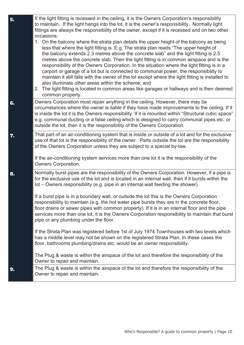| 5. | If the light fitting is recessed in the ceiling, it is the Owners Corporation's responsibility<br>to maintain. If the light hangs into the lot, it is the owner's responsibility. Normally light<br>fittings are always the responsibility of the owner, except if it is recessed and on two other<br>occasions:<br>1. On the balcony where the strata plan details the upper height of the balcony as being<br>less that where the light fitting is. E.g. The strata plan reads "The upper height of<br>the balcony extends 2.3 metres above the concrete slab" and the light fitting is 2.5<br>metres above the concrete slab. Then the light fitting is in common airspace and is the<br>responsibility of the Owners Corporation. In the situation where the light fitting is in a<br>carport or garage of a lot but is connected to communal power, the responsibility to<br>maintain it still falls with the owner of the lot except where the light fitting is installed to<br>also illuminate other areas within the scheme; and<br>2. The light fitting is located in common areas like garages or hallways and is then deemed<br>common property. |
|----|-------------------------------------------------------------------------------------------------------------------------------------------------------------------------------------------------------------------------------------------------------------------------------------------------------------------------------------------------------------------------------------------------------------------------------------------------------------------------------------------------------------------------------------------------------------------------------------------------------------------------------------------------------------------------------------------------------------------------------------------------------------------------------------------------------------------------------------------------------------------------------------------------------------------------------------------------------------------------------------------------------------------------------------------------------------------------------------------------------------------------------------------------------------|
| 6. | Owners Corporation must repair anything in the ceiling. However, there may be<br>circumstances where the owner is liable if they have made improvements to the ceiling. If it<br>is inside the lot it is the Owners responsibility. If it is mounted within "Structural cubic space"<br>e.g. communal ducting or a false ceiling which is designed to carry communal pipes etc. or<br>outside the lot, then it is the responsibility of the Owners Corporation.                                                                                                                                                                                                                                                                                                                                                                                                                                                                                                                                                                                                                                                                                             |
| 7. | That part of an air-conditioning system that is inside or outside of a lot and for the exclusive<br>use of that lot is the responsibility of the owner. Parts outside the lot are the responsibility<br>of the Owners Corporation unless they are subject to a special by-law.<br>If the air-conditioning system services more than one lot it is the responsibility of the<br>Owners Corporation.                                                                                                                                                                                                                                                                                                                                                                                                                                                                                                                                                                                                                                                                                                                                                          |
| 8. | Normally burst pipes are the responsibility of the Owners Corporation. However, if a pipe is<br>for the exclusive use of the lot and is located in an internal wall, then if it bursts within the<br>lot – Owners responsibility (e.g. pipe in an internal wall feeding the shower).<br>If a burst pipe is in a boundary wall, or outside the lot this is the Owners Corporation<br>responsibility to maintain (e.g. the hot water pipe bursts they are in the concrete floor,<br>floor drains or sewer pipes with common property). If it is in an internal floor and the pipe<br>services more than one lot, it is the Owners Corporation responsibility to maintain that burst<br>pipe or any plumbing under the floor.                                                                                                                                                                                                                                                                                                                                                                                                                                  |
|    | If the Strata Plan was registered before 1st of July 1974 Townhouses with two levels which<br>has a middle level may not be shown on the registered Strata Plan. In these cases the<br>floor, bathrooms plumbing/drains etc. would be an owner responsibility.<br>The Plug & waste is within the airspace of the lot and therefore the responsibility of the<br>Owner to repair and maintain.                                                                                                                                                                                                                                                                                                                                                                                                                                                                                                                                                                                                                                                                                                                                                               |
| 9. | The Plug & waste is within the airspace of the lot and therefore the responsibility of the<br>Owner to repair and maintain.                                                                                                                                                                                                                                                                                                                                                                                                                                                                                                                                                                                                                                                                                                                                                                                                                                                                                                                                                                                                                                 |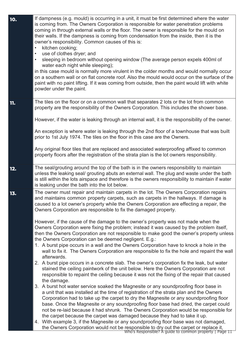| 10. | If dampness (e.g. mould) is occurring in a unit, it must be first determined where the water<br>is coming from. The Owners Corporation is responsible for water penetration problems<br>coming in through external walls or the floor. The owner is responsible for the mould on<br>their walls. If the dampness is coming from condensation from the inside, then it is the<br>owner's responsibility. Common causes of this is:<br>kitchen cooking;<br>$\bullet$<br>use of clothes dryer; and<br>$\bullet$<br>sleeping in bedroom without opening window (The average person expels 400ml of<br>$\bullet$<br>water each night while sleeping);<br>in this case mould is normally more virulent in the colder months and would normally occur<br>on a southern wall or on flat concrete roof. Also the mould would occur on the surface of the<br>paint with no paint lifting. If it was coming from outside, then the paint would lift with white<br>powder under the paint. |
|-----|--------------------------------------------------------------------------------------------------------------------------------------------------------------------------------------------------------------------------------------------------------------------------------------------------------------------------------------------------------------------------------------------------------------------------------------------------------------------------------------------------------------------------------------------------------------------------------------------------------------------------------------------------------------------------------------------------------------------------------------------------------------------------------------------------------------------------------------------------------------------------------------------------------------------------------------------------------------------------------|
| 11. | The tiles on the floor or on a common wall that separates 2 lots or the lot from common<br>property are the responsibility of the Owners Corporation. This includes the shower base.                                                                                                                                                                                                                                                                                                                                                                                                                                                                                                                                                                                                                                                                                                                                                                                           |
|     | However, if the water is leaking through an internal wall, it is the responsibility of the owner.                                                                                                                                                                                                                                                                                                                                                                                                                                                                                                                                                                                                                                                                                                                                                                                                                                                                              |
|     | An exception is where water is leaking through the 2nd floor of a townhouse that was built<br>prior to 1st July 1974. The tiles on the floor in this case are the Owners.                                                                                                                                                                                                                                                                                                                                                                                                                                                                                                                                                                                                                                                                                                                                                                                                      |
|     | Any original floor tiles that are replaced and associated waterproofing affixed to common<br>property floors after the registration of the strata plan is the lot owners responsibility.                                                                                                                                                                                                                                                                                                                                                                                                                                                                                                                                                                                                                                                                                                                                                                                       |
| 12. | The seal/grouting around the top of the bath is in the owners responsibility to maintain<br>unless the leaking seal/ grouting abuts an external wall. The plug and waste under the bath<br>is still within the lots airspace and therefore is the owners responsibility to maintain if water<br>is leaking under the bath into the lot below.                                                                                                                                                                                                                                                                                                                                                                                                                                                                                                                                                                                                                                  |
| 13. | The owner must repair and maintain carpets in the lot. The Owners Corporation repairs<br>and maintains common property carpets, such as carpets in the hallways. If damage is<br>caused to a lot owner's property while the Owners Corporation are effecting a repair, the<br>Owners Corporation are responsible to fix the damaged property.                                                                                                                                                                                                                                                                                                                                                                                                                                                                                                                                                                                                                                  |
|     | However, if the cause of the damage to the owner's property was not made when the<br>Owners Corporation were fixing the problem; instead it was caused by the problem itself,<br>then the Owners Corporation are not responsible to make good the owner's property unless                                                                                                                                                                                                                                                                                                                                                                                                                                                                                                                                                                                                                                                                                                      |
|     | the Owners Corporation can be deemed negligent. E.g.:<br>1. A burst pipe occurs in a wall and the Owners Corporation have to knock a hole in the<br>wall to fix it. The Owners Corporation are responsible to fix the hole and repaint the wall<br>afterwards.                                                                                                                                                                                                                                                                                                                                                                                                                                                                                                                                                                                                                                                                                                                 |
|     | 2. A burst pipe occurs in a concrete slab. The owner's corporation fix the leak, but water<br>stained the ceiling paintwork of the unit below. Here the Owners Corporation are not<br>responsible to repaint the ceiling because it was not the fixing of the repair that caused<br>the damage.                                                                                                                                                                                                                                                                                                                                                                                                                                                                                                                                                                                                                                                                                |
|     | 3. A burst hot water service soaked the Magnesite or any soundproofing floor base in<br>a unit that was installed at the time of registration of the strata plan and the Owners<br>Corporation had to take up the carpet to dry the Magnesite or any soundproofing floor<br>base. Once the Magnesite or any soundproofing floor base had dried, the carpet could<br>not be re-laid because it had shrunk. The Owners Corporation would be responsible for<br>the carpet because the carpet was damaged because they had to take it up.                                                                                                                                                                                                                                                                                                                                                                                                                                         |
|     | 4. With example 3, if the Magnesite or any soundproofing floor base was not damaged,<br>the Owners Corporation would not be responsible to dry out the carpet or replace it,<br>Who's Responsible? A guide to common property   Page 11                                                                                                                                                                                                                                                                                                                                                                                                                                                                                                                                                                                                                                                                                                                                        |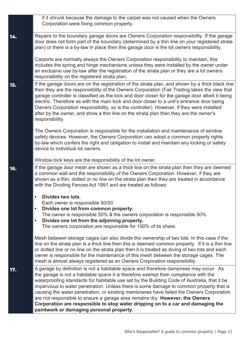|     | if it shrunk because the damage to the carpet was not caused when the Owners<br>Corporation were fixing common property.                                                                                                                                                                                                                                                                                                                                                                                                                                                                                                                                                        |
|-----|---------------------------------------------------------------------------------------------------------------------------------------------------------------------------------------------------------------------------------------------------------------------------------------------------------------------------------------------------------------------------------------------------------------------------------------------------------------------------------------------------------------------------------------------------------------------------------------------------------------------------------------------------------------------------------|
| 14. | Repairs to the boundary garage doors are Owners Corporation responsibility. If the garage<br>door does not form part of the boundary (determined by a thin line on your registered strata<br>plan) or there is a by-law in place then this garage door is the lot owners responsibility.                                                                                                                                                                                                                                                                                                                                                                                        |
|     | Carports are normally always the Owners Corporation responsibility to maintain, this<br>includes the spring and hinge mechanisms unless they were installed by the owner under<br>an exclusive use by-law after the registration of the strata plan or they are a lot owners<br>responsibility on the registered strata plan.                                                                                                                                                                                                                                                                                                                                                   |
| 15. | If the garage doors are on the registration of the strata plan, and shown by a thick black line<br>then they are the responsibility of the Owners Corporation (Fair Trading takes the view that<br>garage controller is classified as the lock and door closer for the garage door albeit it being<br>electric. Therefore as with the main lock and door closer to a unit's entrance door being<br>Owners Corporation responsibility, so is the controller). However, if they were installed<br>after by the owner, and show a thin line on the strata plan then they are the owner's<br>responsibility.                                                                        |
|     | The Owners Corporation is responsible for the installation and maintenance of window<br>safety devices. However, the Owners Corporation can adopt a common property rights<br>by-law which confers the right and obligation to install and maintain any locking or safety<br>device to individual lot owners.                                                                                                                                                                                                                                                                                                                                                                   |
|     | Window lock keys are the responsibility of the lot owner.                                                                                                                                                                                                                                                                                                                                                                                                                                                                                                                                                                                                                       |
| 16. | If the garage door mesh are shown as a thick line on the strata plan then they are deemed<br>a common wall and the responsibility of the Owners Corporation. However, if they are<br>shown as a thin, dotted or no line on the strata plan then they are treated in accordance<br>with the Dividing Fences Act 1991 and are treated as follows:                                                                                                                                                                                                                                                                                                                                 |
|     | Divides two lots.                                                                                                                                                                                                                                                                                                                                                                                                                                                                                                                                                                                                                                                               |
|     | Each owner is responsible 50/50<br>$\bullet$                                                                                                                                                                                                                                                                                                                                                                                                                                                                                                                                                                                                                                    |
|     | Divides one lot from common property.<br>The owner is responsible 50% & the owners corporation is responsible 50%                                                                                                                                                                                                                                                                                                                                                                                                                                                                                                                                                               |
|     | Divides one lot from the adjoining property.<br>$\bullet$                                                                                                                                                                                                                                                                                                                                                                                                                                                                                                                                                                                                                       |
|     | The owners corporation are responsible for 100% of its share.                                                                                                                                                                                                                                                                                                                                                                                                                                                                                                                                                                                                                   |
|     | Mesh between storage cages can also divide the ownership of two lots. In this case if the<br>line on the strata plan is a thick line then this is deemed common property. If it is a thin line<br>or dotted line or no line on the strata plan then it is treated as diving of two lots and each<br>owner is responsible for the maintenance of this mesh between the storage cages. The<br>mesh is almost always registered as an Owners Corporation responsibility.                                                                                                                                                                                                           |
| 17. | A garage by definition is not a habitable space and therefore dampness may occur. As<br>the garage is not a habitable space it is therefore exempt from compliance with the<br>waterproofing standards for habitable use set by the Building Code of Australia, that it be<br>impervious to water penetration. Unless there is some damage to common property that is<br>causing the water penetration, or existing membranes have failed the Owners Corporation<br>are not responsible to ensure a garage area remains dry. However, the Owners<br>Corporation are responsible to stop water dripping on to a car and damaging the<br>paintwork or damaging personal property. |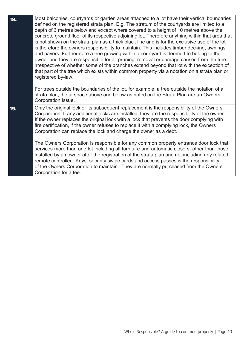| 18. | Most balconies, courtyards or garden areas attached to a lot have their vertical boundaries<br>defined on the registered strata plan. E.g. The stratum of the courtyards are limited to a<br>depth of 3 metres below and except where covered to a height of 10 metres above the<br>concrete ground floor of its respective adjoining lot. Therefore anything within that area that<br>is not shown on the strata plan as a thick black line and is for the exclusive use of the lot<br>is therefore the owners responsibility to maintain. This includes timber decking, awnings<br>and pavers. Furthermore a tree growing within a courtyard is deemed to belong to the<br>owner and they are responsible for all pruning, removal or damage caused from the tree<br>irrespective of whether some of the branches extend beyond that lot with the exception of<br>that part of the tree which exists within common property via a notation on a strata plan or<br>registered by-law.<br>For trees outside the boundaries of the lot, for example, a tree outside the notation of a<br>strata plan, the airspace above and below as noted on the Strata Plan are an Owners |
|-----|-----------------------------------------------------------------------------------------------------------------------------------------------------------------------------------------------------------------------------------------------------------------------------------------------------------------------------------------------------------------------------------------------------------------------------------------------------------------------------------------------------------------------------------------------------------------------------------------------------------------------------------------------------------------------------------------------------------------------------------------------------------------------------------------------------------------------------------------------------------------------------------------------------------------------------------------------------------------------------------------------------------------------------------------------------------------------------------------------------------------------------------------------------------------------------|
| 19. | Corporation Issue.<br>Only the original lock or its subsequent replacement is the responsibility of the Owners<br>Corporation. If any additional locks are installed, they are the responsibility of the owner.<br>If the owner replaces the original lock with a lock that prevents the door complying with<br>fire certification, if the owner refuses to replace it with a complying lock, the Owners<br>Corporation can replace the lock and charge the owner as a debt.<br>The Owners Corporation is responsible for any common property entrance door lock that<br>services more than one lot including all furniture and automatic closers, other than those<br>installed by an owner after the registration of the strata plan and not including any related<br>remote controller. Keys, security swipe cards and access passes is the responsibility<br>of the Owners Corporation to maintain. They are normally purchased from the Owners<br>Corporation for a fee.                                                                                                                                                                                               |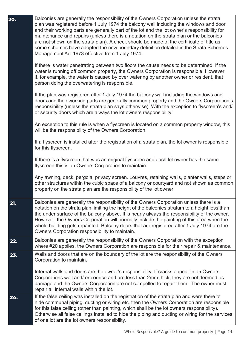| 20. | Balconies are generally the responsibility of the Owners Corporation unless the strata<br>plan was registered before 1 July 1974 the balcony wall including the windows and door<br>and their working parts are generally part of the lot and the lot owner's responsibility for<br>maintenance and repairs (unless there is a notation on the strata plan or the balconies<br>are not shown on the strata plan). A check should be made of the certificate of title as<br>some schemes have adopted the new boundary definition detailed in the Strata Schemes<br>Management Act 1973 effective from 1 July 1974. |
|-----|--------------------------------------------------------------------------------------------------------------------------------------------------------------------------------------------------------------------------------------------------------------------------------------------------------------------------------------------------------------------------------------------------------------------------------------------------------------------------------------------------------------------------------------------------------------------------------------------------------------------|
|     | If there is water penetrating between two floors the cause needs to be determined. If the<br>water is running off common property, the Owners Corporation is responsible. However<br>if, for example, the water is caused by over watering by another owner or resident, that<br>person doing the overwatering is responsible.                                                                                                                                                                                                                                                                                     |
|     | If the plan was registered after 1 July 1974 the balcony wall including the windows and<br>doors and their working parts are generally common property and the Owners Corporation's<br>responsibility (unless the strata plan says otherwise). With the exception to flyscreen's and/<br>or security doors which are always the lot owners responsibility.                                                                                                                                                                                                                                                         |
|     | An exception to this rule is when a flyscreen is located on a common property window, this<br>will be the responsibility of the Owners Corporation.                                                                                                                                                                                                                                                                                                                                                                                                                                                                |
|     | If a flyscreen is installed after the registration of a strata plan, the lot owner is responsible<br>for this flyscreen.                                                                                                                                                                                                                                                                                                                                                                                                                                                                                           |
|     | If there is a flyscreen that was an original flyscreen and each lot owner has the same<br>flyscreen this is an Owners Corporation to maintain.                                                                                                                                                                                                                                                                                                                                                                                                                                                                     |
|     | Any awning, deck, pergola, privacy screen. Louvres, retaining walls, planter walls, steps or<br>other structures within the cubic space of a balcony or courtyard and not shown as common<br>property on the strata plan are the responsibility of the lot owner.                                                                                                                                                                                                                                                                                                                                                  |
| 21. | Balconies are generally the responsibility of the Owners Corporation unless there is a<br>notation on the strata plan limiting the height of the balconies stratum to a height less than<br>the under surface of the balcony above. It is nearly always the responsibility of the owner.<br>However, the Owners Corporation will normally include the painting of this area when the<br>whole building gets repainted. Balcony doors that are registered after 1 July 1974 are the<br>Owners Corporation responsibility to maintain.                                                                               |
| 22. | Balconies are generally the responsibility of the Owners Corporation with the exception<br>where #20 applies, the Owners Corporation are responsible for their repair & maintenance.                                                                                                                                                                                                                                                                                                                                                                                                                               |
| 23. | Walls and doors that are on the boundary of the lot are the responsibility of the Owners<br>Corporation to maintain.                                                                                                                                                                                                                                                                                                                                                                                                                                                                                               |
|     | Internal walls and doors are the owner's responsibility. If cracks appear in an Owners<br>Corporations wall and/ or cornice and are less than 2mm thick, they are not deemed as<br>damage and the Owners Corporation are not compelled to repair them. The owner must<br>repair all internal walls within the lot.                                                                                                                                                                                                                                                                                                 |
| 24. | If the false ceiling was installed on the registration of the strata plan and were there to<br>hide communal piping, ducting or wiring etc. then the Owners Corporation are responsible<br>for this false ceiling (other than painting, which shall be the lot owners responsibility).<br>Otherwise all false ceilings installed to hide the piping and ducting or wiring for the services<br>of one lot are the lot owners responsibility.                                                                                                                                                                        |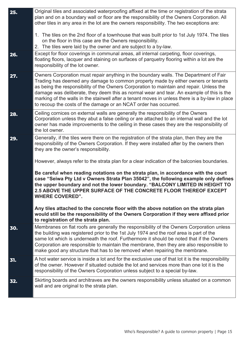| 25. | Original tiles and associated waterproofing affixed at the time or registration of the strata<br>plan and on a boundary wall or floor are the responsibility of the Owners Corporation. All<br>other tiles in any area in the lot are the owners responsibility. The two exceptions are:<br>1. The tiles on the 2nd floor of a townhouse that was built prior to 1st July 1974. The tiles<br>on the floor in this case are the Owners responsibility.<br>2. The tiles were laid by the owner and are subject to a by-law.                                                                                                                                                                                                                                                                                                                                                                                            |
|-----|----------------------------------------------------------------------------------------------------------------------------------------------------------------------------------------------------------------------------------------------------------------------------------------------------------------------------------------------------------------------------------------------------------------------------------------------------------------------------------------------------------------------------------------------------------------------------------------------------------------------------------------------------------------------------------------------------------------------------------------------------------------------------------------------------------------------------------------------------------------------------------------------------------------------|
| 26. | Except for floor coverings in communal areas, all internal carpeting, floor coverings,<br>floating floors, lacquer and staining on surfaces of parquetry flooring within a lot are the<br>responsibility of the lot owner.                                                                                                                                                                                                                                                                                                                                                                                                                                                                                                                                                                                                                                                                                           |
| 27. | Owners Corporation must repair anything in the boundary walls. The Department of Fair<br>Trading has deemed any damage to common property made by either owners or tenants<br>as being the responsibility of the Owners Corporation to maintain and repair. Unless the<br>damage was deliberate, they deem this as normal wear and tear. An example of this is the<br>marking of the walls in the stairwell after a tenant moves in unless there is a by-law in place<br>to recoup the costs of the damage or an NCAT order has occurred.                                                                                                                                                                                                                                                                                                                                                                            |
| 28. | Ceiling cornices on external walls are generally the responsibility of the Owners<br>Corporation unless they abut a false ceiling or are attached to an internal wall and the lot<br>owner has made improvements to the ceiling in these cases they are the responsibility of<br>the lot owner.                                                                                                                                                                                                                                                                                                                                                                                                                                                                                                                                                                                                                      |
| 29. | Generally, if the tiles were there on the registration of the strata plan, then they are the<br>responsibility of the Owners Corporation. If they were installed after by the owners then<br>they are the owner's responsibility.<br>However, always refer to the strata plan for a clear indication of the balconies boundaries.<br>Be careful when reading notations on the strata plan, in accordance with the court<br>case "Seiwa Pty Ltd v Owners Strata Plan 35042", the following example only defines<br>the upper boundary and not the lower boundary. "BALCONY LIMITED IN HEIGHT TO<br>2.5 ABOVE THE UPPER SURFACE OF THE CONCRETE FLOOR THEREOF EXCEPT<br><b>WHERE COVERED".</b><br>Any tiles attached to the concrete floor with the above notation on the strata plan<br>would still be the responsibility of the Owners Corporation if they were affixed prior<br>to registration of the strata plan. |
| 30. | Membranes on flat roofs are generally the responsibility of the Owners Corporation unless<br>the building was registered prior to the 1st July 1974 and the roof area is part of the<br>same lot which is underneath the roof. Furthermore it should be noted that if the Owners<br>Corporation are responsible to maintain the membrane, then they are also responsible to<br>make good any structure that has to be removed when repairing the membrane.                                                                                                                                                                                                                                                                                                                                                                                                                                                           |
| 31. | A hot water service is inside a lot and for the exclusive use of that lot it is the responsibility<br>of the owner. However if situated outside the lot and services more than one lot it is the<br>responsibility of the Owners Corporation unless subject to a special by-law.                                                                                                                                                                                                                                                                                                                                                                                                                                                                                                                                                                                                                                     |
| 32. | Skirting boards and architraves are the owners responsibility unless situated on a common<br>wall and are original to the strata plan.                                                                                                                                                                                                                                                                                                                                                                                                                                                                                                                                                                                                                                                                                                                                                                               |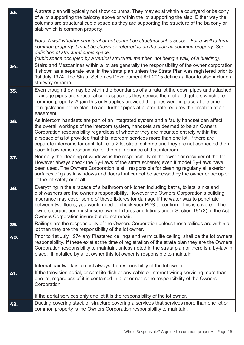| 33. | A strata plan will typically not show columns. They may exist within a courtyard or balcony<br>of a lot supporting the balcony above or within the lot supporting the slab. Either way the<br>columns are structural cubic space as they are supporting the structure of the balcony or<br>slab which is common property.                                                                                                                                                                                                         |
|-----|-----------------------------------------------------------------------------------------------------------------------------------------------------------------------------------------------------------------------------------------------------------------------------------------------------------------------------------------------------------------------------------------------------------------------------------------------------------------------------------------------------------------------------------|
|     | Note: A wall whether structural or not cannot be structural cubic space. For a wall to form<br>common property it must be shown or referred to on the plan as common property. See<br>definition of structural cubic space.<br>(cubic space occupied by a vertical structural member, not being a wall, of a building).                                                                                                                                                                                                           |
| 34. | Stairs and Mezzanines within a lot are generally the responsibility of the owner corporation<br>if shown as a separate level in the strata plan unless the Strata Plan was registered prior to<br>1st July 1974. The Strata Schemes Development Act 2015 defines a floor to also include a<br>stairway or ramp.                                                                                                                                                                                                                   |
| 35. | Even though they may be within the boundaries of a strata lot the down pipes and attached<br>drainage pipes are structural cubic space as they service the roof and gutters which are<br>common property. Again this only applies provided the pipes were in place at the time<br>of registration of the plan. To add further pipes at a later date requires the creation of an<br>easement.                                                                                                                                      |
| 36. | As intercom handsets are part of an integrated system and a faulty handset can affect<br>the overall workings of the intercom system, handsets are deemed to be an Owners<br>Corporation responsibility regardless of whether they are mounted entirely within the<br>airspace of a lot provided that this intercom services more than one lot. If there are<br>separate intercoms for each lot i.e. a 2 lot strata scheme and they are not connected then<br>each lot owner is responsible for the maintenance of that intercom. |
| 37. | Normally the cleaning of windows is the responsibility of the owner or occupier of the lot.<br>However always check the By-Laws of the strata scheme; even if model By-Laws have<br>been used, The Owners Corporation is still responsible for cleaning regularly all exterior<br>surfaces of glass in windows and doors that cannot be accessed by the owner or occupier<br>of the lot safely or at all.                                                                                                                         |
| 38. | Everything in the airspace of a bathroom or kitchen including baths, toilets, sinks and<br>dishwashers are the owner's responsibility. However the Owners Corporation's building<br>insurance may cover some of these fixtures for damage if the water was to penetrate<br>between two floors, you would need to check your PDS to confirm if this is covered. The<br>owners corporation must insure owner fixtures and fittings under Section 161(3) of the Act.<br>Owners Corporation insure but do not repair.                 |
| 39. | Railings are the responsibility of the Owners Corporation unless these railings are within a<br>lot then they are the responsibility of the lot owner.                                                                                                                                                                                                                                                                                                                                                                            |
| 40. | Prior to 1st July 1974 any Plastered ceilings and vermiculite ceiling, shall be the lot owners<br>responsibility. If these exist at the time of registration of the strata plan they are the Owners<br>Corporation responsibility to maintain, unless noted in the strata plan or there is a by-law in<br>place. If installed by a lot owner this lot owner is responsible to maintain.                                                                                                                                           |
|     | Internal paintwork is almost always the responsibility of the lot owner.                                                                                                                                                                                                                                                                                                                                                                                                                                                          |
| 41. | If the television aerial, or satellite dish or any cable or internet wiring servicing more than<br>one lot, regardless of it is contained in a lot or not is the responsibility of the Owners<br>Corporation.                                                                                                                                                                                                                                                                                                                     |
|     | If the aerial services only one lot it is the responsibility of the lot owner.                                                                                                                                                                                                                                                                                                                                                                                                                                                    |
| 42. | Ducting covering stack or structure covering a services that services more than one lot or<br>common property is the Owners Corporation responsibility to maintain.                                                                                                                                                                                                                                                                                                                                                               |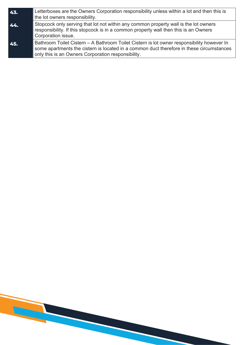| 43. | Letterboxes are the Owners Corporation responsibility unless within a lot and then this is<br>the lot owners responsibility.                                                                                                                 |
|-----|----------------------------------------------------------------------------------------------------------------------------------------------------------------------------------------------------------------------------------------------|
| 44. | Stopcock only serving that lot not within any common property wall is the lot owners<br>responsibility. If this stopcock is in a common property wall then this is an Owners<br>Corporation issue.                                           |
| 45. | Bathroom Toilet Cistern – A Bathroom Toilet Cistern is lot owner responsibility however In<br>some apartments the cistern is located in a common duct therefore in these circumstances<br>only this is an Owners Corporation responsibility. |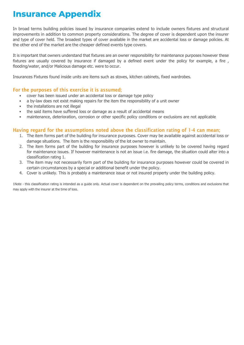#### **Insurance Appendix**

In broad terms building policies issued by insurance companies extend to include owners fixtures and structural improvements in addition to common property considerations. The degree of cover is dependent upon the insurer and type of cover held. The broadest types of cover available in the market are accidental loss or damage policies. At the other end of the market are the cheaper defined events type covers.

It is important that owners understand that fixtures are an owner responsibility for maintenance purposes however these fixtures are usually covered by insurance if damaged by a defined event under the policy for example, a fire, flooding/water, and/or Malicious damage etc. were to occur.

Insurances Fixtures found inside units are items such as stoves, kitchen cabinets, fixed wardrobes.

#### For the purposes of this exercise it is assumed;

- cover has been issued under an accidental loss or damage type policy
- a by-law does not exist making repairs for the item the responsibility of a unit owner
- the installations are not illegal
- the said items have suffered loss or damage as a result of accidental means
- maintenance, deterioration, corrosion or other specific policy conditions or exclusions are not applicable

#### Having regard for the assumptions noted above the classification rating of 1-4 can mean;

- 1. The item forms part of the building for insurance purposes. Cover may be available against accidental loss or damage situations. The item is the responsibility of the lot owner to maintain.
- 2. The item forms part of the building for insurance purposes however is unlikely to be covered having regard for maintenance issues. If however maintenance is not an issue i.e. fire damage, the situation could alter into a classification rating 1.
- 3. The item may not necessarily form part of the building for insurance purposes however could be covered in certain circumstances by a special or additional benefit under the policy.
- 4. Cover is unlikely. This is probably a maintenance issue or not insured property under the building policy.

1Note - this classification rating is intended as a guide only. Actual cover is dependent on the prevailing policy terms, conditions and exclusions that may apply with the insurer at the time of loss.